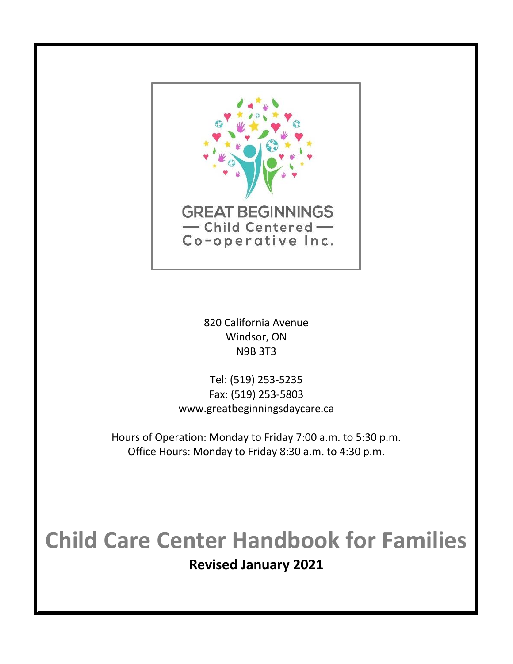

820 California Avenue Windsor, ON N9B 3T3

Tel: (519) 253-5235 Fax: (519) 253-5803 www.greatbeginningsdaycare.ca

Hours of Operation: Monday to Friday 7:00 a.m. to 5:30 p.m. Office Hours: Monday to Friday 8:30 a.m. to 4:30 p.m.

# **Child Care Center Handbook for Families Revised January 2021**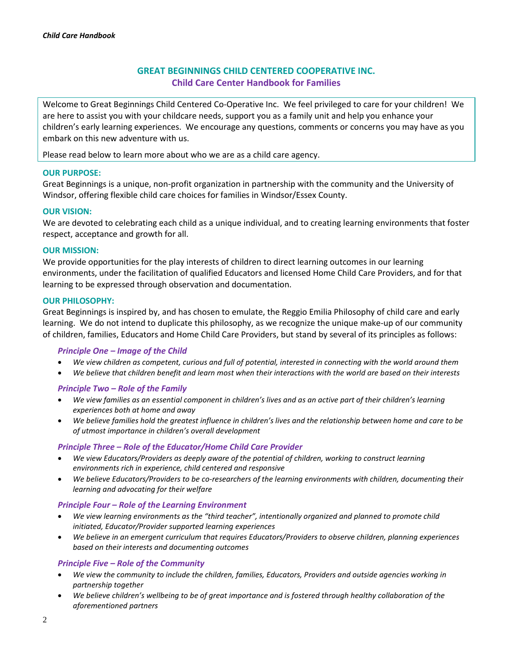# **GREAT BEGINNINGS CHILD CENTERED COOPERATIVE INC. Child Care Center Handbook for Families**

Welcome to Great Beginnings Child Centered Co-Operative Inc. We feel privileged to care for your children! We are here to assist you with your childcare needs, support you as a family unit and help you enhance your children's early learning experiences. We encourage any questions, comments or concerns you may have as you embark on this new adventure with us.

Please read below to learn more about who we are as a child care agency.

## **OUR PURPOSE:**

Great Beginnings is a unique, non-profit organization in partnership with the community and the University of Windsor, offering flexible child care choices for families in Windsor/Essex County.

## **OUR VISION:**

We are devoted to celebrating each child as a unique individual, and to creating learning environments that foster respect, acceptance and growth for all.

## **OUR MISSION:**

We provide opportunities for the play interests of children to direct learning outcomes in our learning environments, under the facilitation of qualified Educators and licensed Home Child Care Providers, and for that learning to be expressed through observation and documentation.

#### **OUR PHILOSOPHY:**

Great Beginnings is inspired by, and has chosen to emulate, the Reggio Emilia Philosophy of child care and early learning. We do not intend to duplicate this philosophy, as we recognize the unique make-up of our community of children, families, Educators and Home Child Care Providers, but stand by several of its principles as follows:

#### *Principle One – Image of the Child*

- *We view children as competent, curious and full of potential, interested in connecting with the world around them*
- *We believe that children benefit and learn most when their interactions with the world are based on their interests*

# *Principle Two – Role of the Family*

- *We view families as an essential component in children's lives and as an active part of their children's learning experiences both at home and away*
- *We believe families hold the greatest influence in children's lives and the relationship between home and care to be of utmost importance in children's overall development*

# *Principle Three – Role of the Educator/Home Child Care Provider*

- *We view Educators/Providers as deeply aware of the potential of children, working to construct learning environments rich in experience, child centered and responsive*
- *We believe Educators/Providers to be co-researchers of the learning environments with children, documenting their learning and advocating for their welfare*

# *Principle Four – Role of the Learning Environment*

- *We view learning environments as the "third teacher", intentionally organized and planned to promote child initiated, Educator/Provider supported learning experiences*
- *We believe in an emergent curriculum that requires Educators/Providers to observe children, planning experiences based on their interests and documenting outcomes*

#### *Principle Five – Role of the Community*

- *We view the community to include the children, families, Educators, Providers and outside agencies working in partnership together*
- *We believe children's wellbeing to be of great importance and is fostered through healthy collaboration of the aforementioned partners*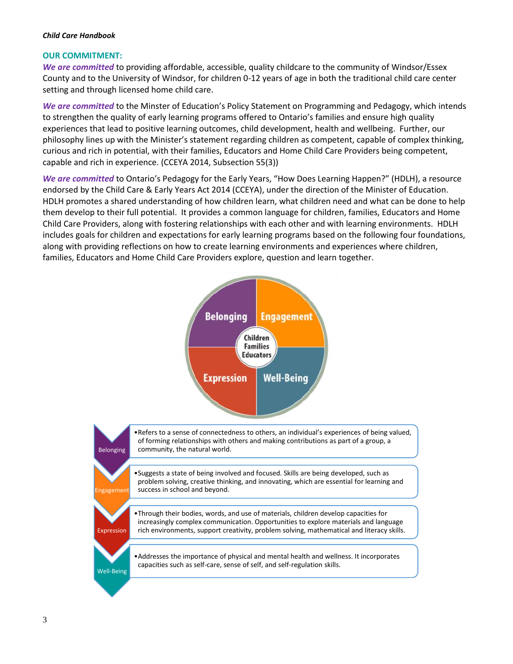# **OUR COMMITMENT:**

*We are committed* to providing affordable, accessible, quality childcare to the community of Windsor/Essex County and to the University of Windsor, for children 0-12 years of age in both the traditional child care center setting and through licensed home child care.

*We are committed* to the Minster of Education's Policy Statement on Programming and Pedagogy, which intends to strengthen the quality of early learning programs offered to Ontario's families and ensure high quality experiences that lead to positive learning outcomes, child development, health and wellbeing. Further, our philosophy lines up with the Minister's statement regarding children as competent, capable of complex thinking, curious and rich in potential, with their families, Educators and Home Child Care Providers being competent, capable and rich in experience. (CCEYA 2014, Subsection 55(3))

*We are committed* to Ontario's Pedagogy for the Early Years, "How Does Learning Happen?" (HDLH), a resource endorsed by the Child Care & Early Years Act 2014 (CCEYA), under the direction of the Minister of Education. HDLH promotes a shared understanding of how children learn, what children need and what can be done to help them develop to their full potential. It provides a common language for children, families, Educators and Home Child Care Providers, along with fostering relationships with each other and with learning environments. HDLH includes goals for children and expectations for early learning programs based on the following four foundations, along with providing reflections on how to create learning environments and experiences where children, families, Educators and Home Child Care Providers explore, question and learn together.

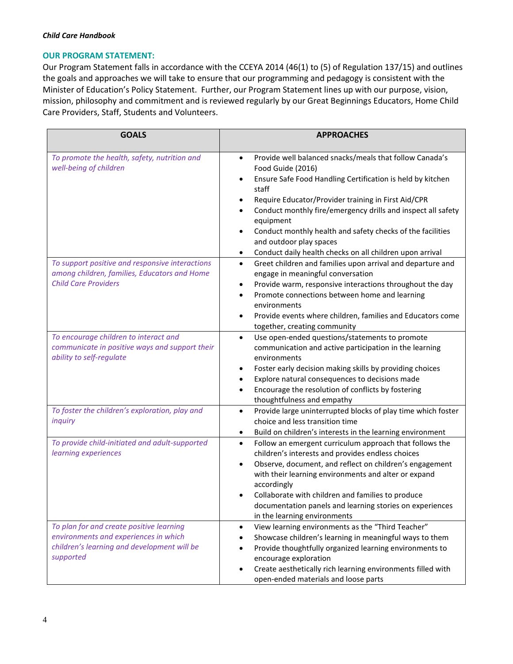# **OUR PROGRAM STATEMENT:**

Our Program Statement falls in accordance with the CCEYA 2014 (46(1) to (5) of Regulation 137/15) and outlines the goals and approaches we will take to ensure that our programming and pedagogy is consistent with the Minister of Education's Policy Statement. Further, our Program Statement lines up with our purpose, vision, mission, philosophy and commitment and is reviewed regularly by our Great Beginnings Educators, Home Child Care Providers, Staff, Students and Volunteers.

| <b>GOALS</b>                                                                                                                                  | <b>APPROACHES</b>                                                                                                                                                                                                                                                                                                                                                                                                                                                                   |  |
|-----------------------------------------------------------------------------------------------------------------------------------------------|-------------------------------------------------------------------------------------------------------------------------------------------------------------------------------------------------------------------------------------------------------------------------------------------------------------------------------------------------------------------------------------------------------------------------------------------------------------------------------------|--|
| To promote the health, safety, nutrition and<br>well-being of children                                                                        | Provide well balanced snacks/meals that follow Canada's<br>$\bullet$<br>Food Guide (2016)<br>Ensure Safe Food Handling Certification is held by kitchen<br>$\bullet$<br>staff<br>Require Educator/Provider training in First Aid/CPR<br>Conduct monthly fire/emergency drills and inspect all safety<br>$\bullet$<br>equipment<br>Conduct monthly health and safety checks of the facilities<br>and outdoor play spaces<br>Conduct daily health checks on all children upon arrival |  |
| To support positive and responsive interactions<br>among children, families, Educators and Home<br><b>Child Care Providers</b>                | Greet children and families upon arrival and departure and<br>$\bullet$<br>engage in meaningful conversation<br>Provide warm, responsive interactions throughout the day<br>٠<br>Promote connections between home and learning<br>$\bullet$<br>environments<br>Provide events where children, families and Educators come<br>$\bullet$<br>together, creating community                                                                                                              |  |
| To encourage children to interact and<br>communicate in positive ways and support their<br>ability to self-regulate                           | Use open-ended questions/statements to promote<br>$\bullet$<br>communication and active participation in the learning<br>environments<br>Foster early decision making skills by providing choices<br>٠<br>Explore natural consequences to decisions made<br>Encourage the resolution of conflicts by fostering<br>$\bullet$<br>thoughtfulness and empathy                                                                                                                           |  |
| To foster the children's exploration, play and<br>inquiry                                                                                     | Provide large uninterrupted blocks of play time which foster<br>$\bullet$<br>choice and less transition time<br>Build on children's interests in the learning environment                                                                                                                                                                                                                                                                                                           |  |
| To provide child-initiated and adult-supported<br>learning experiences                                                                        | Follow an emergent curriculum approach that follows the<br>$\bullet$<br>children's interests and provides endless choices<br>Observe, document, and reflect on children's engagement<br>$\bullet$<br>with their learning environments and alter or expand<br>accordingly<br>Collaborate with children and families to produce<br>documentation panels and learning stories on experiences<br>in the learning environments                                                           |  |
| To plan for and create positive learning<br>environments and experiences in which<br>children's learning and development will be<br>supported | View learning environments as the "Third Teacher"<br>$\bullet$<br>Showcase children's learning in meaningful ways to them<br>Provide thoughtfully organized learning environments to<br>encourage exploration<br>Create aesthetically rich learning environments filled with<br>$\bullet$<br>open-ended materials and loose parts                                                                                                                                                   |  |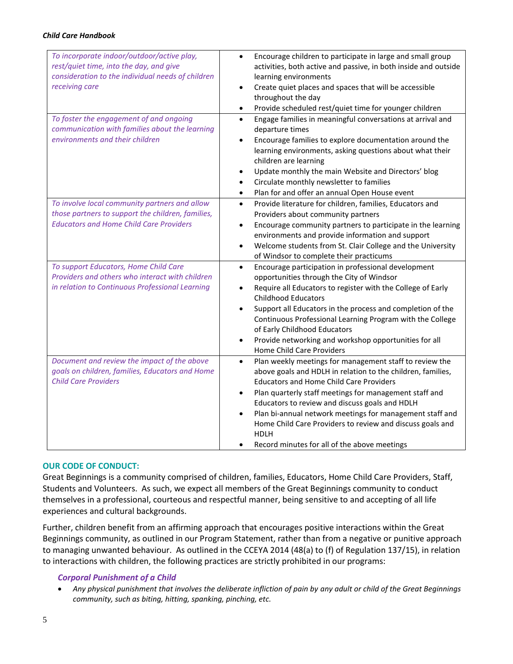| To incorporate indoor/outdoor/active play,<br>rest/quiet time, into the day, and give<br>consideration to the individual needs of children<br>receiving care | Encourage children to participate in large and small group<br>$\bullet$<br>activities, both active and passive, in both inside and outside<br>learning environments<br>Create quiet places and spaces that will be accessible<br>throughout the day<br>Provide scheduled rest/quiet time for younger children<br>$\bullet$                                                                                                                                                                |
|--------------------------------------------------------------------------------------------------------------------------------------------------------------|-------------------------------------------------------------------------------------------------------------------------------------------------------------------------------------------------------------------------------------------------------------------------------------------------------------------------------------------------------------------------------------------------------------------------------------------------------------------------------------------|
| To foster the engagement of and ongoing<br>communication with families about the learning<br>environments and their children                                 | Engage families in meaningful conversations at arrival and<br>$\bullet$<br>departure times<br>Encourage families to explore documentation around the<br>learning environments, asking questions about what their<br>children are learning<br>Update monthly the main Website and Directors' blog<br>Circulate monthly newsletter to families<br>Plan for and offer an annual Open House event<br>$\bullet$                                                                                |
| To involve local community partners and allow<br>those partners to support the children, families,<br><b>Educators and Home Child Care Providers</b>         | Provide literature for children, families, Educators and<br>$\bullet$<br>Providers about community partners<br>Encourage community partners to participate in the learning<br>environments and provide information and support<br>Welcome students from St. Clair College and the University<br>of Windsor to complete their practicums                                                                                                                                                   |
| To support Educators, Home Child Care<br>Providers and others who interact with children<br>in relation to Continuous Professional Learning                  | Encourage participation in professional development<br>$\bullet$<br>opportunities through the City of Windsor<br>Require all Educators to register with the College of Early<br><b>Childhood Educators</b><br>Support all Educators in the process and completion of the<br>$\bullet$<br>Continuous Professional Learning Program with the College<br>of Early Childhood Educators<br>Provide networking and workshop opportunities for all<br>Home Child Care Providers                  |
| Document and review the impact of the above<br>goals on children, families, Educators and Home<br><b>Child Care Providers</b>                                | Plan weekly meetings for management staff to review the<br>$\bullet$<br>above goals and HDLH in relation to the children, families,<br><b>Educators and Home Child Care Providers</b><br>Plan quarterly staff meetings for management staff and<br>Educators to review and discuss goals and HDLH<br>Plan bi-annual network meetings for management staff and<br>Home Child Care Providers to review and discuss goals and<br><b>HDLH</b><br>Record minutes for all of the above meetings |

# **OUR CODE OF CONDUCT:**

Great Beginnings is a community comprised of children, families, Educators, Home Child Care Providers, Staff, Students and Volunteers. As such, we expect all members of the Great Beginnings community to conduct themselves in a professional, courteous and respectful manner, being sensitive to and accepting of all life experiences and cultural backgrounds.

Further, children benefit from an affirming approach that encourages positive interactions within the Great Beginnings community, as outlined in our Program Statement, rather than from a negative or punitive approach to managing unwanted behaviour. As outlined in the CCEYA 2014 (48(a) to (f) of Regulation 137/15), in relation to interactions with children, the following practices are strictly prohibited in our programs:

# *Corporal Punishment of a Child*

• *Any physical punishment that involves the deliberate infliction of pain by any adult or child of the Great Beginnings community, such as biting, hitting, spanking, pinching, etc.*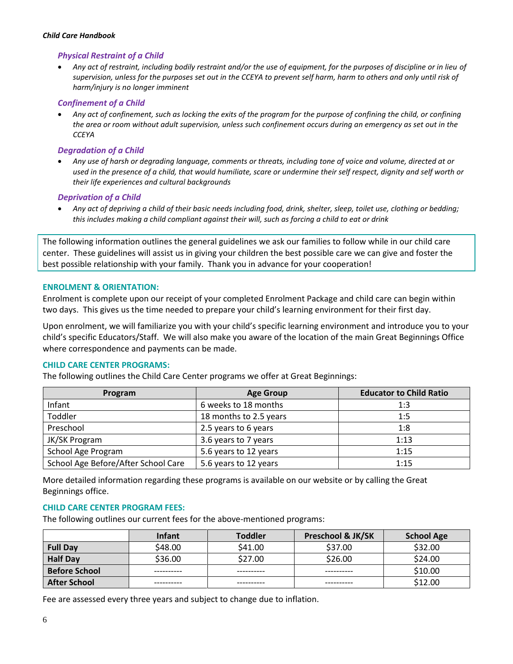# *Physical Restraint of a Child*

• *Any act of restraint, including bodily restraint and/or the use of equipment, for the purposes of discipline or in lieu of supervision, unless for the purposes set out in the CCEYA to prevent self harm, harm to others and only until risk of harm/injury is no longer imminent* 

# *Confinement of a Child*

• *Any act of confinement, such as locking the exits of the program for the purpose of confining the child, or confining the area or room without adult supervision, unless such confinement occurs during an emergency as set out in the CCEYA*

## *Degradation of a Child*

• *Any use of harsh or degrading language, comments or threats, including tone of voice and volume, directed at or used in the presence of a child, that would humiliate, scare or undermine their self respect, dignity and self worth or their life experiences and cultural backgrounds*

## *Deprivation of a Child*

• *Any act of depriving a child of their basic needs including food, drink, shelter, sleep, toilet use, clothing or bedding; this includes making a child compliant against their will, such as forcing a child to eat or drink*

The following information outlines the general guidelines we ask our families to follow while in our child care center. These guidelines will assist us in giving your children the best possible care we can give and foster the best possible relationship with your family. Thank you in advance for your cooperation!

#### **ENROLMENT & ORIENTATION:**

Enrolment is complete upon our receipt of your completed Enrolment Package and child care can begin within two days. This gives us the time needed to prepare your child's learning environment for their first day.

Upon enrolment, we will familiarize you with your child's specific learning environment and introduce you to your child's specific Educators/Staff. We will also make you aware of the location of the main Great Beginnings Office where correspondence and payments can be made.

#### **CHILD CARE CENTER PROGRAMS:**

The following outlines the Child Care Center programs we offer at Great Beginnings:

| Program                             | <b>Age Group</b>       | <b>Educator to Child Ratio</b> |
|-------------------------------------|------------------------|--------------------------------|
| Infant                              | 6 weeks to 18 months   | 1:3                            |
| Toddler                             | 18 months to 2.5 years | 1:5                            |
| Preschool                           | 2.5 years to 6 years   | 1:8                            |
| JK/SK Program                       | 3.6 years to 7 years   | 1:13                           |
| School Age Program                  | 5.6 years to 12 years  | 1:15                           |
| School Age Before/After School Care | 5.6 years to 12 years  | 1:15                           |

More detailed information regarding these programs is available on our website or by calling the Great Beginnings office.

#### **CHILD CARE CENTER PROGRAM FEES:**

The following outlines our current fees for the above-mentioned programs:

|                      | <b>Infant</b> | <b>Toddler</b> | <b>Preschool &amp; JK/SK</b> | <b>School Age</b> |
|----------------------|---------------|----------------|------------------------------|-------------------|
| <b>Full Day</b>      | \$48.00       | \$41.00        | \$37.00                      | \$32.00           |
| <b>Half Day</b>      | \$36.00       | \$27.00        | \$26.00                      | \$24.00           |
| <b>Before School</b> |               |                |                              | \$10.00           |
| <b>After School</b>  |               |                |                              | \$12.00           |
|                      |               |                |                              |                   |

Fee are assessed every three years and subject to change due to inflation.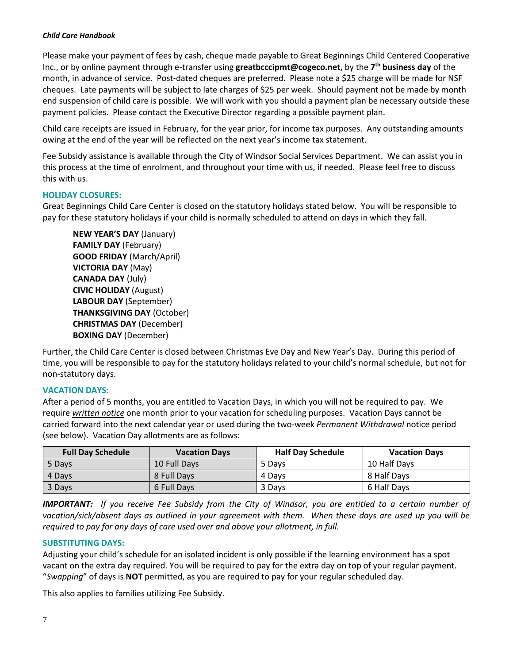Please make your payment of fees by cash, cheque made payable to Great Beginnings Child Centered Cooperative Inc., or by online payment through e-transfer using **greatbcccipmt@cogeco.net,** by the **7 th business day** of the month, in advance of service. Post-dated cheques are preferred. Please note a \$25 charge will be made for NSF cheques. Late payments will be subject to late charges of \$25 per week. Should payment not be made by month end suspension of child care is possible. We will work with you should a payment plan be necessary outside these payment policies. Please contact the Executive Director regarding a possible payment plan.

Child care receipts are issued in February, for the year prior, for income tax purposes. Any outstanding amounts owing at the end of the year will be reflected on the next year's income tax statement.

Fee Subsidy assistance is available through the City of Windsor Social Services Department. We can assist you in this process at the time of enrolment, and throughout your time with us, if needed. Please feel free to discuss this with us.

# **HOLIDAY CLOSURES:**

Great Beginnings Child Care Center is closed on the statutory holidays stated below. You will be responsible to pay for these statutory holidays if your child is normally scheduled to attend on days in which they fall.

**NEW YEAR'S DAY** (January) **FAMILY DAY** (February) **GOOD FRIDAY** (March/April) **VICTORIA DAY** (May) **CANADA DAY** (July) **CIVIC HOLIDAY** (August) **LABOUR DAY** (September) **THANKSGIVING DAY** (October) **CHRISTMAS DAY** (December) **BOXING DAY** (December)

Further, the Child Care Center is closed between Christmas Eve Day and New Year's Day. During this period of time, you will be responsible to pay for the statutory holidays related to your child's normal schedule, but not for non-statutory days.

# **VACATION DAYS:**

After a period of 5 months, you are entitled to Vacation Days, in which you will not be required to pay. We require *written notice* one month prior to your vacation for scheduling purposes. Vacation Days cannot be carried forward into the next calendar year or used during the two-week *Permanent Withdrawal* notice period (see below). Vacation Day allotments are as follows:

| <b>Full Day Schedule</b> | <b>Vacation Days</b> | <b>Half Day Schedule</b> | <b>Vacation Days</b> |
|--------------------------|----------------------|--------------------------|----------------------|
| 5 Days                   | 10 Full Days         | 5 Davs                   | 10 Half Days         |
| 4 Davs                   | 8 Full Davs          | 4 Davs                   | 8 Half Days          |
| 3 Days                   | 6 Full Days          | 3 Days                   | 6 Half Days          |

*IMPORTANT: If you receive Fee Subsidy from the City of Windsor, you are entitled to a certain number of vacation/sick/absent days as outlined in your agreement with them. When these days are used up you will be required to pay for any days of care used over and above your allotment, in full.* 

# **SUBSTITUTING DAYS:**

Adjusting your child's schedule for an isolated incident is only possible if the learning environment has a spot vacant on the extra day required. You will be required to pay for the extra day on top of your regular payment. "*Swapping*" of days is **NOT** permitted, as you are required to pay for your regular scheduled day.

This also applies to families utilizing Fee Subsidy.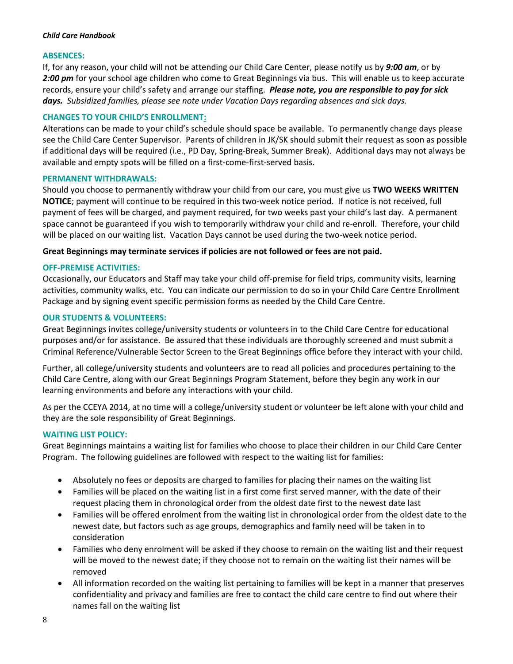# **ABSENCES:**

If, for any reason, your child will not be attending our Child Care Center, please notify us by *9:00 am*, or by 2:00 pm for your school age children who come to Great Beginnings via bus. This will enable us to keep accurate records, ensure your child's safety and arrange our staffing. *Please note, you are responsible to pay for sick days. Subsidized families, please see note under Vacation Days regarding absences and sick days.* 

# **CHANGES TO YOUR CHILD'S ENROLLMENT:**

Alterations can be made to your child's schedule should space be available. To permanently change days please see the Child Care Center Supervisor. Parents of children in JK/SK should submit their request as soon as possible if additional days will be required (i.e., PD Day, Spring-Break, Summer Break). Additional days may not always be available and empty spots will be filled on a first-come-first-served basis.

#### **PERMANENT WITHDRAWALS:**

Should you choose to permanently withdraw your child from our care, you must give us **TWO WEEKS WRITTEN NOTICE**; payment will continue to be required in this two-week notice period. If notice is not received, full payment of fees will be charged, and payment required, for two weeks past your child's last day. A permanent space cannot be guaranteed if you wish to temporarily withdraw your child and re-enroll. Therefore, your child will be placed on our waiting list. Vacation Days cannot be used during the two-week notice period.

## **Great Beginnings may terminate services if policies are not followed or fees are not paid.**

## **OFF-PREMISE ACTIVITIES:**

Occasionally, our Educators and Staff may take your child off-premise for field trips, community visits, learning activities, community walks, etc. You can indicate our permission to do so in your Child Care Centre Enrollment Package and by signing event specific permission forms as needed by the Child Care Centre.

## **OUR STUDENTS & VOLUNTEERS:**

Great Beginnings invites college/university students or volunteers in to the Child Care Centre for educational purposes and/or for assistance. Be assured that these individuals are thoroughly screened and must submit a Criminal Reference/Vulnerable Sector Screen to the Great Beginnings office before they interact with your child.

Further, all college/university students and volunteers are to read all policies and procedures pertaining to the Child Care Centre, along with our Great Beginnings Program Statement, before they begin any work in our learning environments and before any interactions with your child.

As per the CCEYA 2014, at no time will a college/university student or volunteer be left alone with your child and they are the sole responsibility of Great Beginnings.

#### **WAITING LIST POLICY:**

Great Beginnings maintains a waiting list for families who choose to place their children in our Child Care Center Program. The following guidelines are followed with respect to the waiting list for families:

- Absolutely no fees or deposits are charged to families for placing their names on the waiting list
- Families will be placed on the waiting list in a first come first served manner, with the date of their request placing them in chronological order from the oldest date first to the newest date last
- Families will be offered enrolment from the waiting list in chronological order from the oldest date to the newest date, but factors such as age groups, demographics and family need will be taken in to consideration
- Families who deny enrolment will be asked if they choose to remain on the waiting list and their request will be moved to the newest date; if they choose not to remain on the waiting list their names will be removed
- All information recorded on the waiting list pertaining to families will be kept in a manner that preserves confidentiality and privacy and families are free to contact the child care centre to find out where their names fall on the waiting list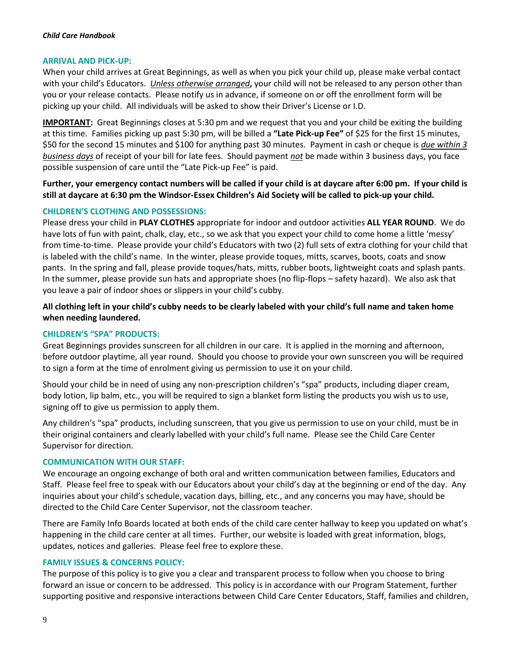## **ARRIVAL AND PICK-UP:**

When your child arrives at Great Beginnings, as well as when you pick your child up, please make verbal contact with your child's Educators. *Unless otherwise arranged***,** your child will not be released to any person other than you or your release contacts. Please notify us in advance, if someone on or off the enrollment form will be picking up your child. All individuals will be asked to show their Driver's License or I.D.

**IMPORTANT:** Great Beginnings closes at 5:30 pm and we request that you and your child be exiting the building at this time. Families picking up past 5:30 pm, will be billed a **"Late Pick-up Fee"** of \$25 for the first 15 minutes, \$50 for the second 15 minutes and \$100 for anything past 30 minutes. Payment in cash or cheque is *due within 3 business days* of receipt of your bill for late fees. Should payment *not* be made within 3 business days, you face possible suspension of care until the "Late Pick-up Fee" is paid.

**Further, your emergency contact numbers will be called if your child is at daycare after 6:00 pm. If your child is still at daycare at 6:30 pm the Windsor-Essex Children's Aid Society will be called to pick-up your child.** 

# **CHILDREN'S CLOTHING AND POSSESSIONS:**

Please dress your child in **PLAY CLOTHES** appropriate for indoor and outdoor activities **ALL YEAR ROUND**. We do have lots of fun with paint, chalk, clay, etc., so we ask that you expect your child to come home a little 'messy' from time-to-time. Please provide your child's Educators with two (2) full sets of extra clothing for your child that is labeled with the child's name. In the winter, please provide toques, mitts, scarves, boots, coats and snow pants. In the spring and fall, please provide toques/hats, mitts, rubber boots, lightweight coats and splash pants. In the summer, please provide sun hats and appropriate shoes (no flip-flops – safety hazard). We also ask that you leave a pair of indoor shoes or slippers in your child's cubby.

# **All clothing left in your child's cubby needs to be clearly labeled with your child's full name and taken home when needing laundered.**

# **CHILDREN'S "SPA" PRODUCTS:**

Great Beginnings provides sunscreen for all children in our care. It is applied in the morning and afternoon, before outdoor playtime, all year round. Should you choose to provide your own sunscreen you will be required to sign a form at the time of enrolment giving us permission to use it on your child.

Should your child be in need of using any non-prescription children's "spa" products, including diaper cream, body lotion, lip balm, etc., you will be required to sign a blanket form listing the products you wish us to use, signing off to give us permission to apply them.

Any children's "spa" products, including sunscreen, that you give us permission to use on your child, must be in their original containers and clearly labelled with your child's full name. Please see the Child Care Center Supervisor for direction.

#### **COMMUNICATION WITH OUR STAFF:**

We encourage an ongoing exchange of both oral and written communication between families, Educators and Staff. Please feel free to speak with our Educators about your child's day at the beginning or end of the day. Any inquiries about your child's schedule, vacation days, billing, etc., and any concerns you may have, should be directed to the Child Care Center Supervisor, not the classroom teacher.

There are Family Info Boards located at both ends of the child care center hallway to keep you updated on what's happening in the child care center at all times. Further, our website is loaded with great information, blogs, updates, notices and galleries. Please feel free to explore these.

#### **FAMILY ISSUES & CONCERNS POLICY:**

The purpose of this policy is to give you a clear and transparent process to follow when you choose to bring forward an issue or concern to be addressed. This policy is in accordance with our Program Statement, further supporting positive and responsive interactions between Child Care Center Educators, Staff, families and children,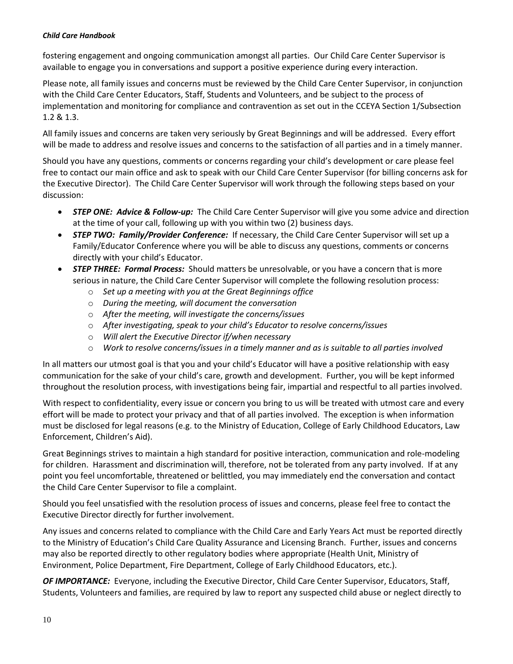fostering engagement and ongoing communication amongst all parties. Our Child Care Center Supervisor is available to engage you in conversations and support a positive experience during every interaction.

Please note, all family issues and concerns must be reviewed by the Child Care Center Supervisor, in conjunction with the Child Care Center Educators, Staff, Students and Volunteers, and be subject to the process of implementation and monitoring for compliance and contravention as set out in the CCEYA Section 1/Subsection 1.2 & 1.3.

All family issues and concerns are taken very seriously by Great Beginnings and will be addressed. Every effort will be made to address and resolve issues and concerns to the satisfaction of all parties and in a timely manner.

Should you have any questions, comments or concerns regarding your child's development or care please feel free to contact our main office and ask to speak with our Child Care Center Supervisor (for billing concerns ask for the Executive Director). The Child Care Center Supervisor will work through the following steps based on your discussion:

- *STEP ONE: Advice & Follow-up:* The Child Care Center Supervisor will give you some advice and direction at the time of your call, following up with you within two (2) business days.
- *STEP TWO: Family/Provider Conference:* If necessary, the Child Care Center Supervisor will set up a Family/Educator Conference where you will be able to discuss any questions, comments or concerns directly with your child's Educator.
- *STEP THREE: Formal Process:* Should matters be unresolvable, or you have a concern that is more serious in nature, the Child Care Center Supervisor will complete the following resolution process:
	- o *Set up a meeting with you at the Great Beginnings office*
	- o *During the meeting, will document the conversation*
	- o *After the meeting, will investigate the concerns/issues*
	- o *After investigating, speak to your child's Educator to resolve concerns/issues*
	- o *Will alert the Executive Director if/when necessary*
	- o *Work to resolve concerns/issues in a timely manner and as is suitable to all parties involved*

In all matters our utmost goal is that you and your child's Educator will have a positive relationship with easy communication for the sake of your child's care, growth and development. Further, you will be kept informed throughout the resolution process, with investigations being fair, impartial and respectful to all parties involved.

With respect to confidentiality, every issue or concern you bring to us will be treated with utmost care and every effort will be made to protect your privacy and that of all parties involved. The exception is when information must be disclosed for legal reasons (e.g. to the Ministry of Education, College of Early Childhood Educators, Law Enforcement, Children's Aid).

Great Beginnings strives to maintain a high standard for positive interaction, communication and role-modeling for children. Harassment and discrimination will, therefore, not be tolerated from any party involved. If at any point you feel uncomfortable, threatened or belittled, you may immediately end the conversation and contact the Child Care Center Supervisor to file a complaint.

Should you feel unsatisfied with the resolution process of issues and concerns, please feel free to contact the Executive Director directly for further involvement.

Any issues and concerns related to compliance with the Child Care and Early Years Act must be reported directly to the Ministry of Education's Child Care Quality Assurance and Licensing Branch. Further, issues and concerns may also be reported directly to other regulatory bodies where appropriate (Health Unit, Ministry of Environment, Police Department, Fire Department, College of Early Childhood Educators, etc.).

*OF IMPORTANCE:* Everyone, including the Executive Director, Child Care Center Supervisor, Educators, Staff, Students, Volunteers and families, are required by law to report any suspected child abuse or neglect directly to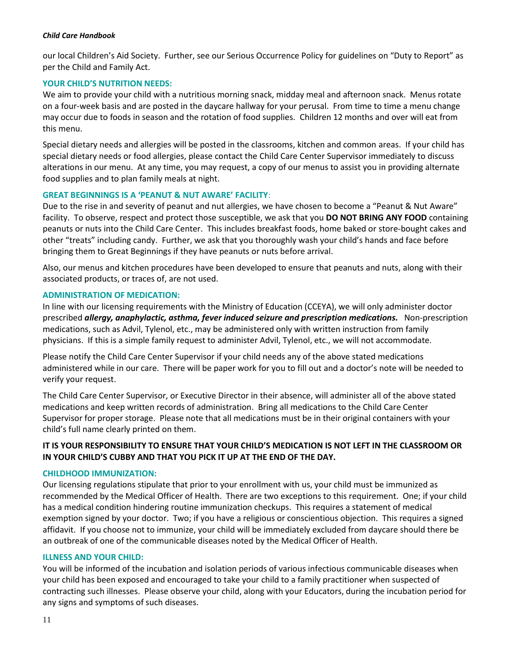our local Children's Aid Society. Further, see our Serious Occurrence Policy for guidelines on "Duty to Report" as per the Child and Family Act.

# **YOUR CHILD'S NUTRITION NEEDS:**

We aim to provide your child with a nutritious morning snack, midday meal and afternoon snack. Menus rotate on a four-week basis and are posted in the daycare hallway for your perusal. From time to time a menu change may occur due to foods in season and the rotation of food supplies. Children 12 months and over will eat from this menu.

Special dietary needs and allergies will be posted in the classrooms, kitchen and common areas. If your child has special dietary needs or food allergies, please contact the Child Care Center Supervisor immediately to discuss alterations in our menu. At any time, you may request, a copy of our menus to assist you in providing alternate food supplies and to plan family meals at night.

## **GREAT BEGINNINGS IS A 'PEANUT & NUT AWARE' FACILITY**:

Due to the rise in and severity of peanut and nut allergies, we have chosen to become a "Peanut & Nut Aware" facility. To observe, respect and protect those susceptible, we ask that you **DO NOT BRING ANY FOOD** containing peanuts or nuts into the Child Care Center. This includes breakfast foods, home baked or store-bought cakes and other "treats" including candy. Further, we ask that you thoroughly wash your child's hands and face before bringing them to Great Beginnings if they have peanuts or nuts before arrival.

Also, our menus and kitchen procedures have been developed to ensure that peanuts and nuts, along with their associated products, or traces of, are not used.

# **ADMINISTRATION OF MEDICATION:**

In line with our licensing requirements with the Ministry of Education (CCEYA), we will only administer doctor prescribed *allergy, anaphylactic, asthma, fever induced seizure and prescription medications.* Non-prescription medications, such as Advil, Tylenol, etc., may be administered only with written instruction from family physicians. If this is a simple family request to administer Advil, Tylenol, etc., we will not accommodate.

Please notify the Child Care Center Supervisor if your child needs any of the above stated medications administered while in our care. There will be paper work for you to fill out and a doctor's note will be needed to verify your request.

The Child Care Center Supervisor, or Executive Director in their absence, will administer all of the above stated medications and keep written records of administration. Bring all medications to the Child Care Center Supervisor for proper storage. Please note that all medications must be in their original containers with your child's full name clearly printed on them.

# **IT IS YOUR RESPONSIBILITY TO ENSURE THAT YOUR CHILD'S MEDICATION IS NOT LEFT IN THE CLASSROOM OR IN YOUR CHILD'S CUBBY AND THAT YOU PICK IT UP AT THE END OF THE DAY.**

#### **CHILDHOOD IMMUNIZATION:**

Our licensing regulations stipulate that prior to your enrollment with us, your child must be immunized as recommended by the Medical Officer of Health. There are two exceptions to this requirement. One; if your child has a medical condition hindering routine immunization checkups. This requires a statement of medical exemption signed by your doctor. Two; if you have a religious or conscientious objection. This requires a signed affidavit. If you choose not to immunize, your child will be immediately excluded from daycare should there be an outbreak of one of the communicable diseases noted by the Medical Officer of Health.

#### **ILLNESS AND YOUR CHILD:**

You will be informed of the incubation and isolation periods of various infectious communicable diseases when your child has been exposed and encouraged to take your child to a family practitioner when suspected of contracting such illnesses. Please observe your child, along with your Educators, during the incubation period for any signs and symptoms of such diseases.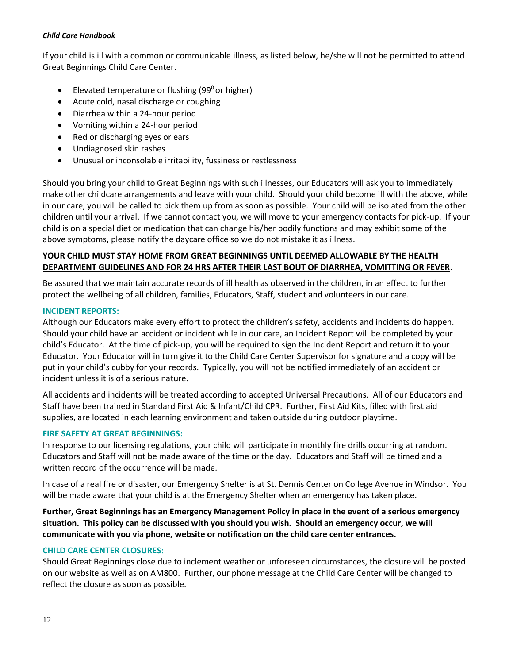If your child is ill with a common or communicable illness, as listed below, he/she will not be permitted to attend Great Beginnings Child Care Center.

- Elevated temperature or flushing (99 $^{\circ}$  or higher)
- Acute cold, nasal discharge or coughing
- Diarrhea within a 24-hour period
- Vomiting within a 24-hour period
- Red or discharging eyes or ears
- Undiagnosed skin rashes
- Unusual or inconsolable irritability, fussiness or restlessness

Should you bring your child to Great Beginnings with such illnesses, our Educators will ask you to immediately make other childcare arrangements and leave with your child. Should your child become ill with the above, while in our care, you will be called to pick them up from as soon as possible. Your child will be isolated from the other children until your arrival. If we cannot contact you, we will move to your emergency contacts for pick-up. If your child is on a special diet or medication that can change his/her bodily functions and may exhibit some of the above symptoms, please notify the daycare office so we do not mistake it as illness.

# **YOUR CHILD MUST STAY HOME FROM GREAT BEGINNINGS UNTIL DEEMED ALLOWABLE BY THE HEALTH DEPARTMENT GUIDELINES AND FOR 24 HRS AFTER THEIR LAST BOUT OF DIARRHEA, VOMITTING OR FEVER.**

Be assured that we maintain accurate records of ill health as observed in the children, in an effect to further protect the wellbeing of all children, families, Educators, Staff, student and volunteers in our care.

# **INCIDENT REPORTS:**

Although our Educators make every effort to protect the children's safety, accidents and incidents do happen. Should your child have an accident or incident while in our care, an Incident Report will be completed by your child's Educator. At the time of pick-up, you will be required to sign the Incident Report and return it to your Educator. Your Educator will in turn give it to the Child Care Center Supervisor for signature and a copy will be put in your child's cubby for your records. Typically, you will not be notified immediately of an accident or incident unless it is of a serious nature.

All accidents and incidents will be treated according to accepted Universal Precautions. All of our Educators and Staff have been trained in Standard First Aid & Infant/Child CPR. Further, First Aid Kits, filled with first aid supplies, are located in each learning environment and taken outside during outdoor playtime.

# **FIRE SAFETY AT GREAT BEGINNINGS:**

In response to our licensing regulations, your child will participate in monthly fire drills occurring at random. Educators and Staff will not be made aware of the time or the day. Educators and Staff will be timed and a written record of the occurrence will be made.

In case of a real fire or disaster, our Emergency Shelter is at St. Dennis Center on College Avenue in Windsor. You will be made aware that your child is at the Emergency Shelter when an emergency has taken place.

**Further, Great Beginnings has an Emergency Management Policy in place in the event of a serious emergency situation. This policy can be discussed with you should you wish. Should an emergency occur, we will communicate with you via phone, website or notification on the child care center entrances.** 

# **CHILD CARE CENTER CLOSURES:**

Should Great Beginnings close due to inclement weather or unforeseen circumstances, the closure will be posted on our website as well as on AM800. Further, our phone message at the Child Care Center will be changed to reflect the closure as soon as possible.